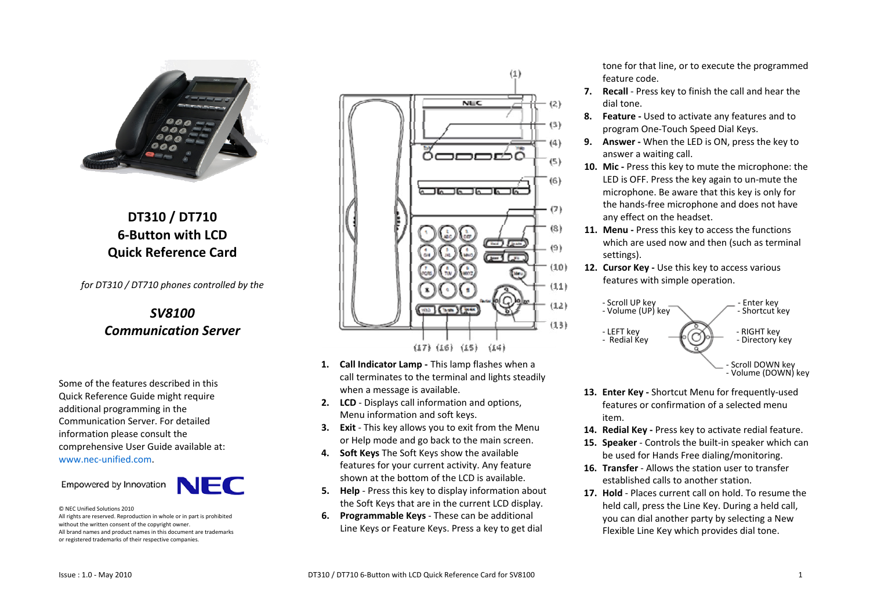

**DT310 / DT710 6‐Button with LCDQuick Reference Card**

*for DT310 / DT710 phones controlled by the*

# *SV8100Communication Server*

Some of the features described in this Quick Reference Guide might require additional programming in the Communication Server. For detailed information please consult the comprehensive User Guide available at: www.nec‐[unified.com](http://www.nec-unified.com/).



© NEC Unified Solutions 2010 All rights are reserved. Reproduction in whole or in part is prohibited without the written consent of the copyright owner. All brand names and product names in this document are trademarks or registered trademarks of their respective companies.



- **1. Call Indicator Lamp ‐** This lamp flashes when <sup>a</sup> call terminates to the terminal and lights steadily when <sup>a</sup> message is available.
- **2. LCD** ‐ Displays call information and options, Menu information and soft keys.
- **3. Exit** ‐ This key allows you to exit from the Menu or Help mode and go back to the main screen.
- **4. Soft Keys** The Soft Keys show the available features for your current activity. Any feature shown at the bottom of the LCD is available.
- **5. Help** ‐ Press this key to display information about the Soft Keys that are in the current LCD display.
- **6. Programmable Keys** ‐ These can be additional Line Keys or Feature Keys. Press <sup>a</sup> key to get dial

tone for that line, or to execute the programmed feature code.

- **7. Recall** ‐ Press key to finish the call and hear the dial tone.
- **8. Feature ‐** Used to activate any features and to program One‐Touch Speed Dial Keys.
- **9. Answer ‐** When the LED is ON, press the key to answer a waiting call.
- **10. Mic ‐** Press this key to mute the microphone: the LED is OFF. Press the key again to un‐mute the microphone. Be aware that this key is only for the hands‐free microphone and does not have any effect on the headset.
- **11. Menu ‐** Press this key to access the functions which are used now and then (such as terminal settings).
- **12. Cursor Key ‐** Use this key to access various features with simple operation.



- **13. Enter Key ‐** Shortcut Menu for frequently‐used features or confirmation of <sup>a</sup> selected menu item.
- **14. Redial Key ‐** Press key to activate redial feature.
- **15. Speaker** ‐ Controls the built‐in speaker which can be used for Hands Free dialing/monitoring.
- **16. Transfer** ‐ Allows the station user to transfer established calls to another station.
- **17. Hold** ‐ Places current call on hold. To resume the held call, press the Line Key. During <sup>a</sup> held call, you can dial another party by selecting <sup>a</sup> New Flexible Line Key which provides dial tone.